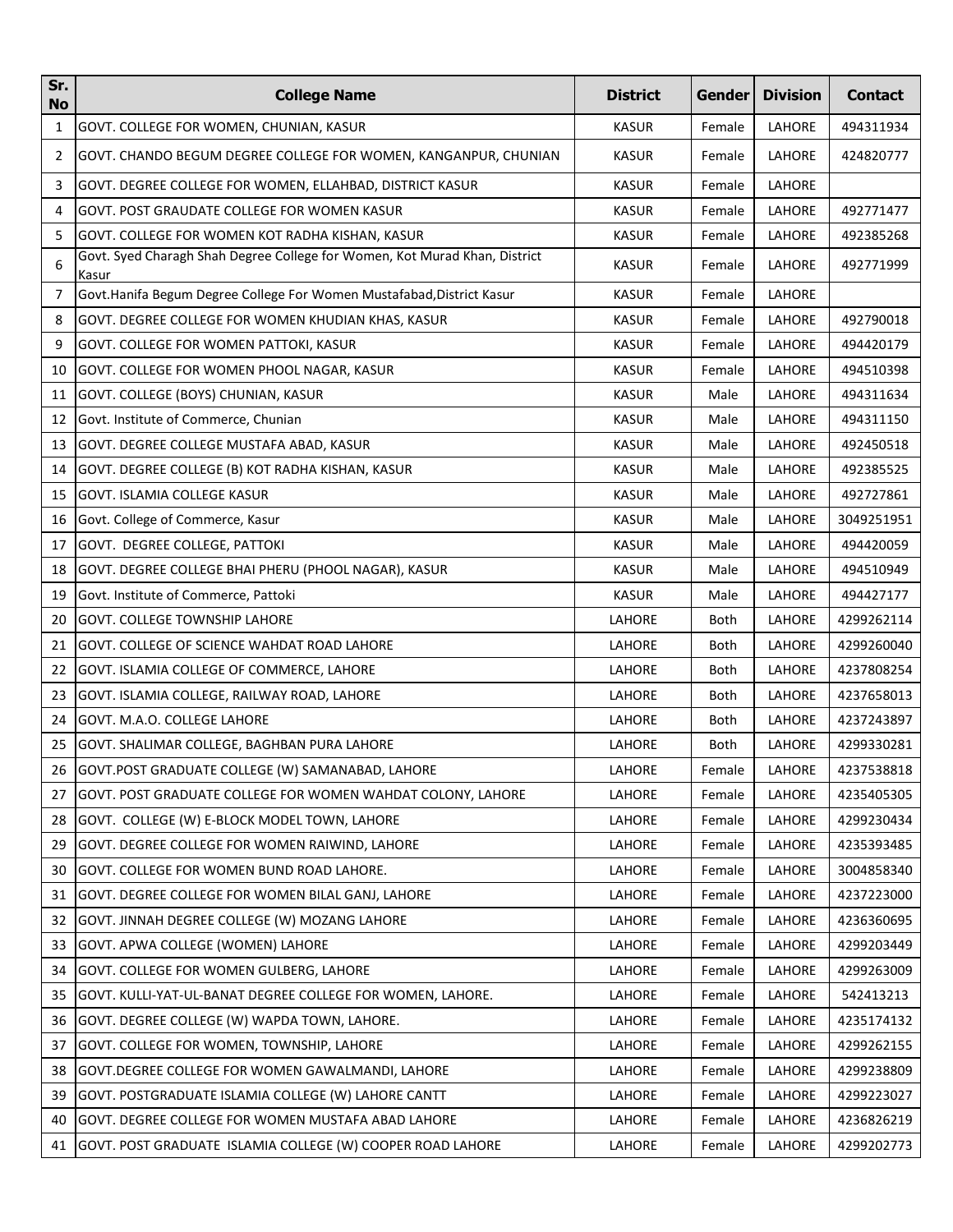| Sr.<br><b>No</b> | <b>College Name</b>                                                                 | <b>District</b> | Gender | <b>Division</b> | <b>Contact</b> |
|------------------|-------------------------------------------------------------------------------------|-----------------|--------|-----------------|----------------|
| 1                | GOVT. COLLEGE FOR WOMEN, CHUNIAN, KASUR                                             | <b>KASUR</b>    | Female | LAHORE          | 494311934      |
| 2                | GOVT. CHANDO BEGUM DEGREE COLLEGE FOR WOMEN, KANGANPUR, CHUNIAN                     | <b>KASUR</b>    | Female | LAHORE          | 424820777      |
| 3                | GOVT. DEGREE COLLEGE FOR WOMEN, ELLAHBAD, DISTRICT KASUR                            | <b>KASUR</b>    | Female | LAHORE          |                |
| 4                | <b>GOVT. POST GRAUDATE COLLEGE FOR WOMEN KASUR</b>                                  | <b>KASUR</b>    | Female | LAHORE          | 492771477      |
| 5                | GOVT. COLLEGE FOR WOMEN KOT RADHA KISHAN, KASUR                                     | <b>KASUR</b>    | Female | LAHORE          | 492385268      |
| 6                | Govt. Syed Charagh Shah Degree College for Women, Kot Murad Khan, District<br>Kasur | <b>KASUR</b>    | Female | LAHORE          | 492771999      |
| 7                | Govt.Hanifa Begum Degree College For Women Mustafabad, District Kasur               | <b>KASUR</b>    | Female | LAHORE          |                |
| 8                | GOVT. DEGREE COLLEGE FOR WOMEN KHUDIAN KHAS, KASUR                                  | <b>KASUR</b>    | Female | LAHORE          | 492790018      |
| 9                | GOVT. COLLEGE FOR WOMEN PATTOKI, KASUR                                              | <b>KASUR</b>    | Female | LAHORE          | 494420179      |
| 10               | GOVT. COLLEGE FOR WOMEN PHOOL NAGAR, KASUR                                          | <b>KASUR</b>    | Female | LAHORE          | 494510398      |
| 11               | GOVT. COLLEGE (BOYS) CHUNIAN, KASUR                                                 | <b>KASUR</b>    | Male   | LAHORE          | 494311634      |
| 12               | Govt. Institute of Commerce, Chunian                                                | <b>KASUR</b>    | Male   | LAHORE          | 494311150      |
| 13               | GOVT. DEGREE COLLEGE MUSTAFA ABAD, KASUR                                            | <b>KASUR</b>    | Male   | LAHORE          | 492450518      |
| 14               | GOVT. DEGREE COLLEGE (B) KOT RADHA KISHAN, KASUR                                    | <b>KASUR</b>    | Male   | LAHORE          | 492385525      |
| 15               | <b>GOVT. ISLAMIA COLLEGE KASUR</b>                                                  | <b>KASUR</b>    | Male   | LAHORE          | 492727861      |
| 16               | Govt. College of Commerce, Kasur                                                    | <b>KASUR</b>    | Male   | LAHORE          | 3049251951     |
| 17               | GOVT. DEGREE COLLEGE, PATTOKI                                                       | <b>KASUR</b>    | Male   | LAHORE          | 494420059      |
| 18               | GOVT. DEGREE COLLEGE BHAI PHERU (PHOOL NAGAR), KASUR                                | <b>KASUR</b>    | Male   | LAHORE          | 494510949      |
| 19               | Govt. Institute of Commerce, Pattoki                                                | <b>KASUR</b>    | Male   | LAHORE          | 494427177      |
| 20               | <b>GOVT. COLLEGE TOWNSHIP LAHORE</b>                                                | LAHORE          | Both   | LAHORE          | 4299262114     |
| 21               | GOVT. COLLEGE OF SCIENCE WAHDAT ROAD LAHORE                                         | LAHORE          | Both   | LAHORE          | 4299260040     |
| 22               | GOVT. ISLAMIA COLLEGE OF COMMERCE, LAHORE                                           | LAHORE          | Both   | LAHORE          | 4237808254     |
| 23               | GOVT. ISLAMIA COLLEGE, RAILWAY ROAD, LAHORE                                         | LAHORE          | Both   | LAHORE          | 4237658013     |
| 24               | GOVT. M.A.O. COLLEGE LAHORE                                                         | LAHORE          | Both   | LAHORE          | 4237243897     |
| 25               | GOVT. SHALIMAR COLLEGE, BAGHBAN PURA LAHORE                                         | LAHORE          | Both   | LAHORE          | 4299330281     |
|                  | 26 GOVT.POST GRADUATE COLLEGE (W) SAMANABAD, LAHORE                                 | LAHORE          | Female | LAHORE          | 4237538818     |
| 27               | GOVT. POST GRADUATE COLLEGE FOR WOMEN WAHDAT COLONY, LAHORE                         | LAHORE          | Female | LAHORE          | 4235405305     |
| 28               | GOVT. COLLEGE (W) E-BLOCK MODEL TOWN, LAHORE                                        | LAHORE          | Female | LAHORE          | 4299230434     |
| 29               | GOVT. DEGREE COLLEGE FOR WOMEN RAIWIND, LAHORE                                      | LAHORE          | Female | LAHORE          | 4235393485     |
| 30               | GOVT. COLLEGE FOR WOMEN BUND ROAD LAHORE.                                           | <b>LAHORE</b>   | Female | LAHORE          | 3004858340     |
| 31               | GOVT. DEGREE COLLEGE FOR WOMEN BILAL GANJ, LAHORE                                   | LAHORE          | Female | LAHORE          | 4237223000     |
| 32               | GOVT. JINNAH DEGREE COLLEGE (W) MOZANG LAHORE                                       | LAHORE          | Female | LAHORE          | 4236360695     |
| 33               | GOVT. APWA COLLEGE (WOMEN) LAHORE                                                   | LAHORE          | Female | LAHORE          | 4299203449     |
| 34               | GOVT. COLLEGE FOR WOMEN GULBERG, LAHORE                                             | LAHORE          | Female | LAHORE          | 4299263009     |
| 35               | GOVT. KULLI-YAT-UL-BANAT DEGREE COLLEGE FOR WOMEN, LAHORE.                          | LAHORE          | Female | LAHORE          | 542413213      |
| 36               | GOVT. DEGREE COLLEGE (W) WAPDA TOWN, LAHORE.                                        | LAHORE          | Female | LAHORE          | 4235174132     |
| 37               | GOVT. COLLEGE FOR WOMEN, TOWNSHIP, LAHORE                                           | LAHORE          | Female | LAHORE          | 4299262155     |
| 38               | GOVT.DEGREE COLLEGE FOR WOMEN GAWALMANDI, LAHORE                                    | LAHORE          | Female | LAHORE          | 4299238809     |
| 39               | GOVT. POSTGRADUATE ISLAMIA COLLEGE (W) LAHORE CANTT                                 | LAHORE          | Female | LAHORE          | 4299223027     |
| 40               | GOVT. DEGREE COLLEGE FOR WOMEN MUSTAFA ABAD LAHORE                                  | LAHORE          | Female | LAHORE          | 4236826219     |
| 41               | GOVT. POST GRADUATE ISLAMIA COLLEGE (W) COOPER ROAD LAHORE                          | LAHORE          | Female | LAHORE          | 4299202773     |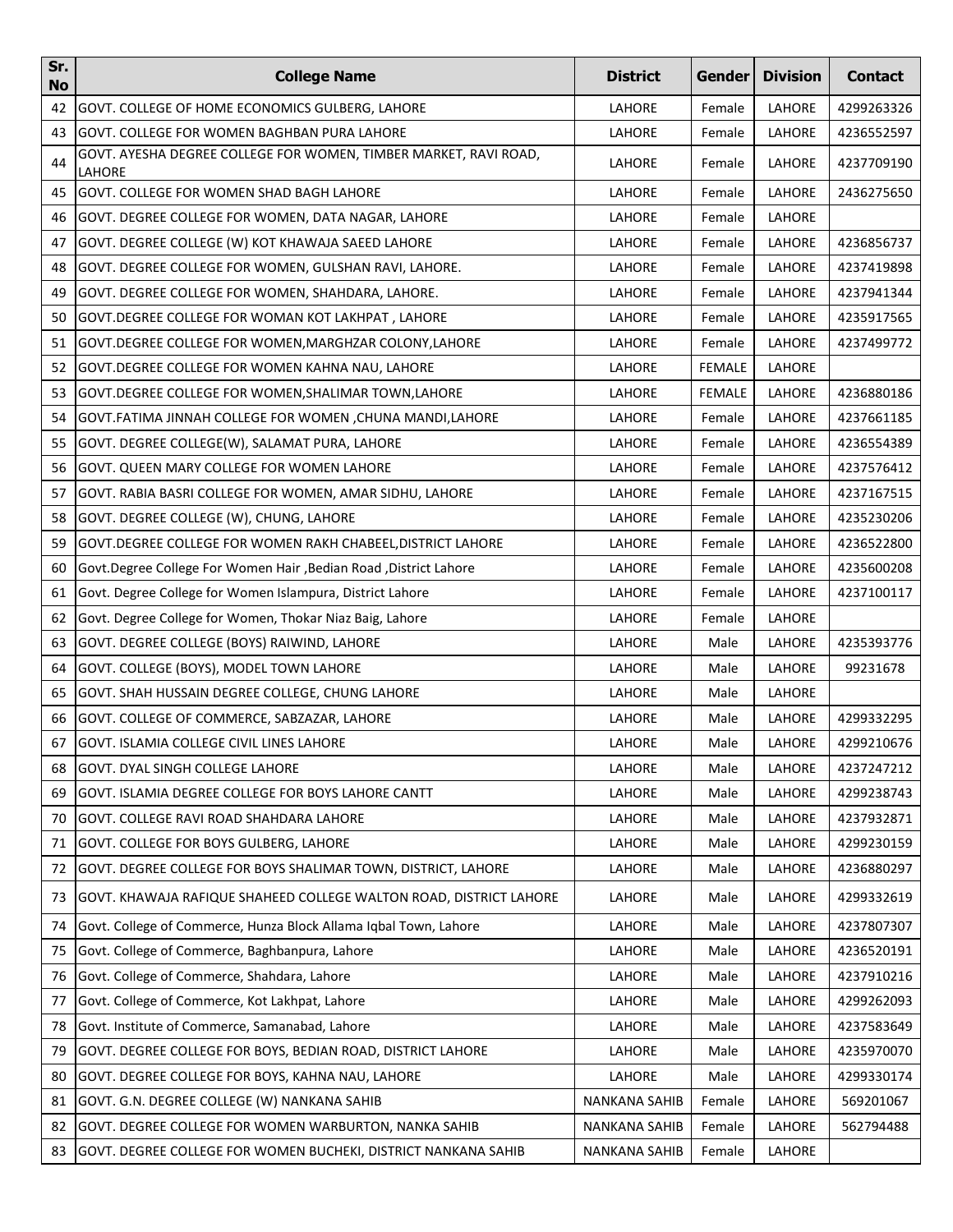| Sr.<br><b>No</b> | <b>College Name</b>                                                        | <b>District</b>      | Gender        | <b>Division</b> | <b>Contact</b> |
|------------------|----------------------------------------------------------------------------|----------------------|---------------|-----------------|----------------|
| 42               | GOVT. COLLEGE OF HOME ECONOMICS GULBERG, LAHORE                            | LAHORE               | Female        | LAHORE          | 4299263326     |
| 43               | GOVT. COLLEGE FOR WOMEN BAGHBAN PURA LAHORE                                | LAHORE               | Female        | LAHORE          | 4236552597     |
| 44               | GOVT. AYESHA DEGREE COLLEGE FOR WOMEN, TIMBER MARKET, RAVI ROAD,<br>LAHORE | LAHORE               | Female        | LAHORE          | 4237709190     |
| 45               | GOVT. COLLEGE FOR WOMEN SHAD BAGH LAHORE                                   | LAHORE               | Female        | LAHORE          | 2436275650     |
| 46               | GOVT. DEGREE COLLEGE FOR WOMEN, DATA NAGAR, LAHORE                         | LAHORE               | Female        | LAHORE          |                |
| 47               | GOVT. DEGREE COLLEGE (W) KOT KHAWAJA SAEED LAHORE                          | LAHORE               | Female        | LAHORE          | 4236856737     |
| 48               | GOVT. DEGREE COLLEGE FOR WOMEN, GULSHAN RAVI, LAHORE.                      | LAHORE               | Female        | LAHORE          | 4237419898     |
| 49               | GOVT. DEGREE COLLEGE FOR WOMEN, SHAHDARA, LAHORE.                          | LAHORE               | Female        | LAHORE          | 4237941344     |
| 50               | GOVT.DEGREE COLLEGE FOR WOMAN KOT LAKHPAT, LAHORE                          | LAHORE               | Female        | LAHORE          | 4235917565     |
| 51               | GOVT.DEGREE COLLEGE FOR WOMEN, MARGHZAR COLONY, LAHORE                     | LAHORE               | Female        | LAHORE          | 4237499772     |
| 52               | GOVT.DEGREE COLLEGE FOR WOMEN KAHNA NAU, LAHORE                            | LAHORE               | FEMALE        | LAHORE          |                |
| 53               | GOVT.DEGREE COLLEGE FOR WOMEN, SHALIMAR TOWN, LAHORE                       | <b>LAHORE</b>        | <b>FEMALE</b> | LAHORE          | 4236880186     |
| 54               | GOVT.FATIMA JINNAH COLLEGE FOR WOMEN ,CHUNA MANDI,LAHORE                   | LAHORE               | Female        | LAHORE          | 4237661185     |
| 55               | GOVT. DEGREE COLLEGE(W), SALAMAT PURA, LAHORE                              | LAHORE               | Female        | LAHORE          | 4236554389     |
| 56               | GOVT. QUEEN MARY COLLEGE FOR WOMEN LAHORE                                  | LAHORE               | Female        | LAHORE          | 4237576412     |
| 57               | GOVT. RABIA BASRI COLLEGE FOR WOMEN, AMAR SIDHU, LAHORE                    | LAHORE               | Female        | LAHORE          | 4237167515     |
| 58               | GOVT. DEGREE COLLEGE (W), CHUNG, LAHORE                                    | LAHORE               | Female        | LAHORE          | 4235230206     |
| 59               | GOVT.DEGREE COLLEGE FOR WOMEN RAKH CHABEEL,DISTRICT LAHORE                 | LAHORE               | Female        | LAHORE          | 4236522800     |
| 60               | Govt.Degree College For Women Hair, Bedian Road, District Lahore           | LAHORE               | Female        | LAHORE          | 4235600208     |
| 61               | Govt. Degree College for Women Islampura, District Lahore                  | LAHORE               | Female        | LAHORE          | 4237100117     |
| 62               | Govt. Degree College for Women, Thokar Niaz Baig, Lahore                   | LAHORE               | Female        | LAHORE          |                |
| 63               | GOVT. DEGREE COLLEGE (BOYS) RAIWIND, LAHORE                                | LAHORE               | Male          | LAHORE          | 4235393776     |
| 64               | GOVT. COLLEGE (BOYS), MODEL TOWN LAHORE                                    | LAHORE               | Male          | LAHORE          | 99231678       |
| 65               | GOVT. SHAH HUSSAIN DEGREE COLLEGE, CHUNG LAHORE                            | LAHORE               | Male          | LAHORE          |                |
| 66               | GOVT. COLLEGE OF COMMERCE, SABZAZAR, LAHORE                                | LAHORE               | Male          | LAHORE          | 4299332295     |
| 67               | GOVT. ISLAMIA COLLEGE CIVIL LINES LAHORE                                   | LAHORE               | Male          | LAHORE          | 4299210676     |
| 68               | <b>GOVT. DYAL SINGH COLLEGE LAHORE</b>                                     | LAHORE               | Male          | LAHORE          | 4237247212     |
| 69               | GOVT. ISLAMIA DEGREE COLLEGE FOR BOYS LAHORE CANTT                         | LAHORE               | Male          | LAHORE          | 4299238743     |
| 70               | GOVT. COLLEGE RAVI ROAD SHAHDARA LAHORE                                    | LAHORE               | Male          | LAHORE          | 4237932871     |
| 71               | GOVT. COLLEGE FOR BOYS GULBERG, LAHORE                                     | LAHORE               | Male          | LAHORE          | 4299230159     |
| 72               | GOVT. DEGREE COLLEGE FOR BOYS SHALIMAR TOWN, DISTRICT, LAHORE              | LAHORE               | Male          | LAHORE          | 4236880297     |
| 73               | GOVT. KHAWAJA RAFIQUE SHAHEED COLLEGE WALTON ROAD, DISTRICT LAHORE         | LAHORE               | Male          | LAHORE          | 4299332619     |
| 74               | Govt. College of Commerce, Hunza Block Allama Iqbal Town, Lahore           | LAHORE               | Male          | LAHORE          | 4237807307     |
| 75               | Govt. College of Commerce, Baghbanpura, Lahore                             | LAHORE               | Male          | LAHORE          | 4236520191     |
| 76               | Govt. College of Commerce, Shahdara, Lahore                                | LAHORE               | Male          | LAHORE          | 4237910216     |
| 77               | Govt. College of Commerce, Kot Lakhpat, Lahore                             | LAHORE               | Male          | LAHORE          | 4299262093     |
| 78               | Govt. Institute of Commerce, Samanabad, Lahore                             | LAHORE               | Male          | LAHORE          | 4237583649     |
| 79               | GOVT. DEGREE COLLEGE FOR BOYS, BEDIAN ROAD, DISTRICT LAHORE                | LAHORE               | Male          | LAHORE          | 4235970070     |
| 80               | GOVT. DEGREE COLLEGE FOR BOYS, KAHNA NAU, LAHORE                           | LAHORE               | Male          | LAHORE          | 4299330174     |
| 81               | GOVT. G.N. DEGREE COLLEGE (W) NANKANA SAHIB                                | <b>NANKANA SAHIB</b> | Female        | LAHORE          | 569201067      |
| 82               | GOVT. DEGREE COLLEGE FOR WOMEN WARBURTON, NANKA SAHIB                      | <b>NANKANA SAHIB</b> | Female        | LAHORE          | 562794488      |
| 83               | GOVT. DEGREE COLLEGE FOR WOMEN BUCHEKI, DISTRICT NANKANA SAHIB             | <b>NANKANA SAHIB</b> | Female        | LAHORE          |                |